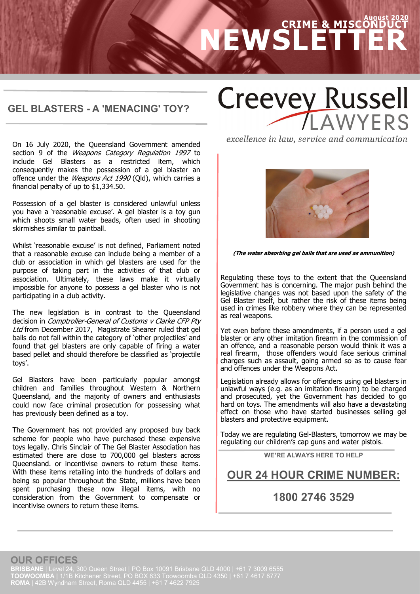# **August 2020 CRIME & MISCONDUCT NEWSLETTER**

#### **GEL BLASTERS - A 'MENACING' TOY?**

**Creevey Russell** AWYERS

On 16 July 2020, the Queensland Government amended section 9 of the Weapons Category Regulation 1997 to include Gel Blasters as a restricted item, which consequently makes the possession of a gel blaster an offence under the Weapons Act 1990 (Qld), which carries a financial penalty of up to \$1,334.50.

Possession of a gel blaster is considered unlawful unless you have a 'reasonable excuse'. A gel blaster is a toy gun which shoots small water beads, often used in shooting skirmishes similar to paintball.

Whilst 'reasonable excuse' is not defined, Parliament noted that a reasonable excuse can include being a member of a club or association in which gel blasters are used for the purpose of taking part in the activities of that club or association. Ultimately, these laws make it virtually impossible for anyone to possess a gel blaster who is not participating in a club activity.

The new legislation is in contrast to the Queensland decision in Comptroller-General of Customs v Clarke CFP Pty Ltd from December 2017, Magistrate Shearer ruled that gel balls do not fall within the category of 'other projectiles' and found that gel blasters are only capable of firing a water based pellet and should therefore be classified as 'projectile toys'.

Gel Blasters have been particularly popular amongst children and families throughout Western & Northern Queensland, and the majority of owners and enthusiasts could now face criminal prosecution for possessing what has previously been defined as a toy.

The Government has not provided any proposed buy back scheme for people who have purchased these expensive toys legally. Chris Sinclair of The Gel Blaster Association has estimated there are close to 700,000 gel blasters across Queensland. or incentivise owners to return these items. With these items retailing into the hundreds of dollars and being so popular throughout the State, millions have been spent purchasing these now illegal items, with no consideration from the Government to compensate or incentivise owners to return these items.

excellence in law, service and communication



**(The water absorbing gel balls that are used as ammunition)**

Regulating these toys to the extent that the Queensland Government has is concerning. The major push behind the legislative changes was not based upon the safety of the Gel Blaster itself, but rather the risk of these items being used in crimes like robbery where they can be represented as real weapons.

Yet even before these amendments, if a person used a gel blaster or any other imitation firearm in the commission of an offence, and a reasonable person would think it was a real firearm, those offenders would face serious criminal charges such as assault, going armed so as to cause fear and offences under the Weapons Act.

Legislation already allows for offenders using gel blasters in unlawful ways (e.g. as an imitation firearm) to be charged and prosecuted, yet the Government has decided to go hard on toys. The amendments will also have a devastating effect on those who have started businesses selling gel blasters and protective equipment.

Today we are regulating Gel-Blasters, tomorrow we may be regulating our children's cap guns and water pistols.

**WE'RE ALWAYS HERE TO HELP**

## **OUR 24 HOUR CRIME NUMBER:**

## **1800 2746 3529**

**OUR OFFICES**

**BRISBANE** | Level 24, 300 Queen Street | PO Box 10091 Brisbane QLD 4000 | +61 7 3009 6555 **TOOWOOMBA** | 1/1B Kitchener Street, PO BOX 833 Toowoomba QLD 4350 | +61 7 4617 8777 **ROMA** | 42B Wyndham Street, Roma QLD 4455 | +61 7 4622 7925